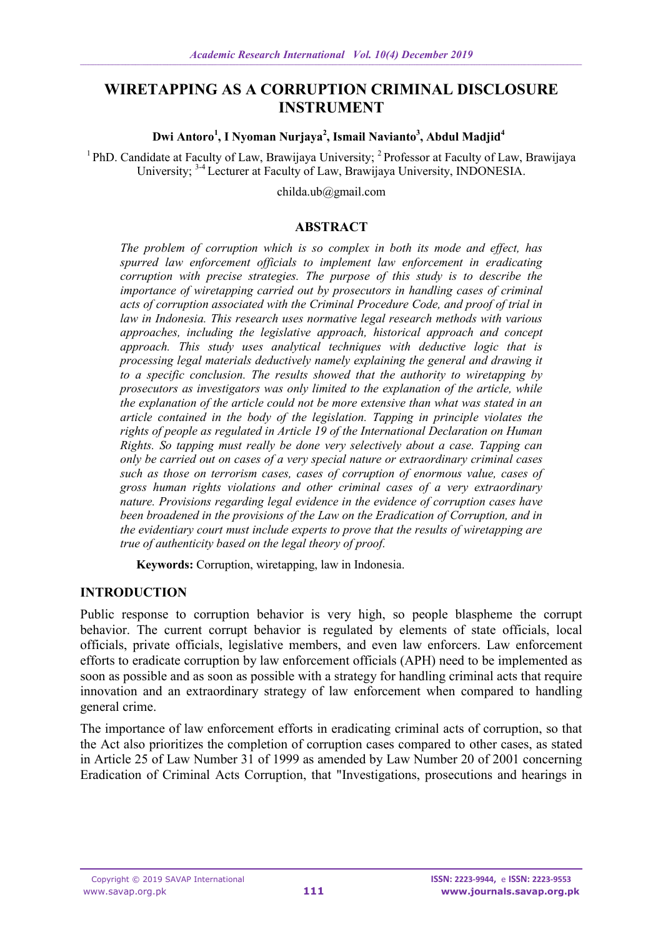# **WIRETAPPING AS A CORRUPTION CRIMINAL DISCLOSURE INSTRUMENT**

#### **Dwi Antoro<sup>1</sup> , I Nyoman Nurjaya<sup>2</sup> , Ismail Navianto 3 , Abdul Madjid<sup>4</sup>**

<sup>1</sup> PhD. Candidate at Faculty of Law, Brawijaya University; <sup>2</sup> Professor at Faculty of Law, Brawijaya University; 3-4 Lecturer at Faculty of Law, Brawijaya University, INDONESIA.

childa.ub@gmail.com

#### **ABSTRACT**

*The problem of corruption which is so complex in both its mode and effect, has spurred law enforcement officials to implement law enforcement in eradicating corruption with precise strategies. The purpose of this study is to describe the importance of wiretapping carried out by prosecutors in handling cases of criminal acts of corruption associated with the Criminal Procedure Code, and proof of trial in law in Indonesia. This research uses normative legal research methods with various approaches, including the legislative approach, historical approach and concept approach. This study uses analytical techniques with deductive logic that is processing legal materials deductively namely explaining the general and drawing it to a specific conclusion. The results showed that the authority to wiretapping by prosecutors as investigators was only limited to the explanation of the article, while the explanation of the article could not be more extensive than what was stated in an article contained in the body of the legislation. Tapping in principle violates the rights of people as regulated in Article 19 of the International Declaration on Human Rights. So tapping must really be done very selectively about a case. Tapping can only be carried out on cases of a very special nature or extraordinary criminal cases such as those on terrorism cases, cases of corruption of enormous value, cases of gross human rights violations and other criminal cases of a very extraordinary nature. Provisions regarding legal evidence in the evidence of corruption cases have been broadened in the provisions of the Law on the Eradication of Corruption, and in the evidentiary court must include experts to prove that the results of wiretapping are true of authenticity based on the legal theory of proof.*

**Keywords:** Corruption, wiretapping, law in Indonesia.

## **INTRODUCTION**

Public response to corruption behavior is very high, so people blaspheme the corrupt behavior. The current corrupt behavior is regulated by elements of state officials, local officials, private officials, legislative members, and even law enforcers. Law enforcement efforts to eradicate corruption by law enforcement officials (APH) need to be implemented as soon as possible and as soon as possible with a strategy for handling criminal acts that require innovation and an extraordinary strategy of law enforcement when compared to handling general crime.

The importance of law enforcement efforts in eradicating criminal acts of corruption, so that the Act also prioritizes the completion of corruption cases compared to other cases, as stated in Article 25 of Law Number 31 of 1999 as amended by Law Number 20 of 2001 concerning Eradication of Criminal Acts Corruption, that "Investigations, prosecutions and hearings in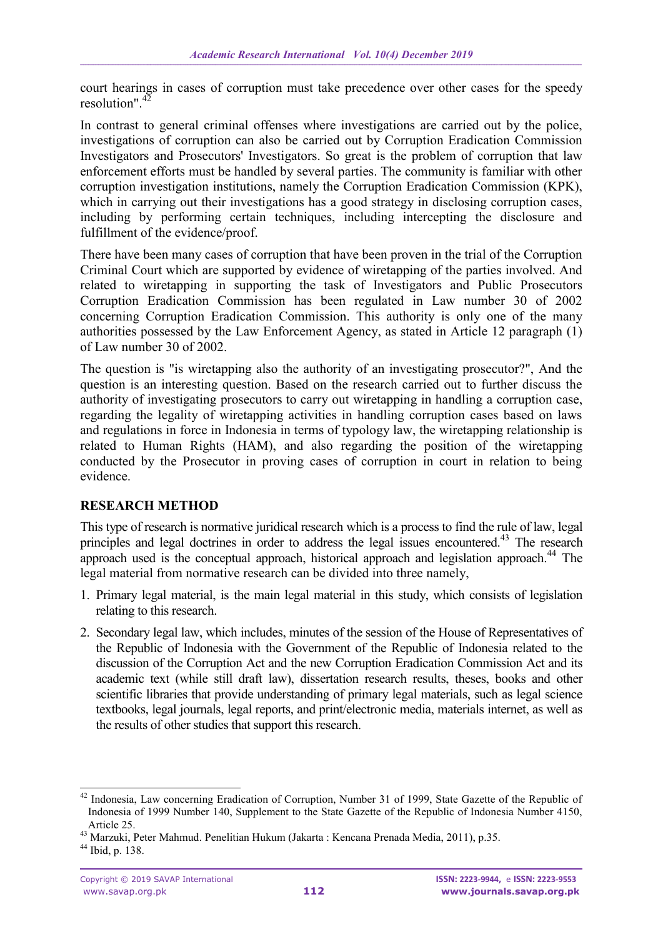court hearings in cases of corruption must take precedence over other cases for the speedy resolution" $4\overline{2}$ 

In contrast to general criminal offenses where investigations are carried out by the police, investigations of corruption can also be carried out by Corruption Eradication Commission Investigators and Prosecutors' Investigators. So great is the problem of corruption that law enforcement efforts must be handled by several parties. The community is familiar with other corruption investigation institutions, namely the Corruption Eradication Commission (KPK), which in carrying out their investigations has a good strategy in disclosing corruption cases, including by performing certain techniques, including intercepting the disclosure and fulfillment of the evidence/proof.

There have been many cases of corruption that have been proven in the trial of the Corruption Criminal Court which are supported by evidence of wiretapping of the parties involved. And related to wiretapping in supporting the task of Investigators and Public Prosecutors Corruption Eradication Commission has been regulated in Law number 30 of 2002 concerning Corruption Eradication Commission. This authority is only one of the many authorities possessed by the Law Enforcement Agency, as stated in Article 12 paragraph (1) of Law number 30 of 2002.

The question is "is wiretapping also the authority of an investigating prosecutor?", And the question is an interesting question. Based on the research carried out to further discuss the authority of investigating prosecutors to carry out wiretapping in handling a corruption case, regarding the legality of wiretapping activities in handling corruption cases based on laws and regulations in force in Indonesia in terms of typology law, the wiretapping relationship is related to Human Rights (HAM), and also regarding the position of the wiretapping conducted by the Prosecutor in proving cases of corruption in court in relation to being evidence.

## **RESEARCH METHOD**

This type of research is normative juridical research which is a process to find the rule of law, legal principles and legal doctrines in order to address the legal issues encountered.<sup>43</sup> The research approach used is the conceptual approach, historical approach and legislation approach.<sup>44</sup> The legal material from normative research can be divided into three namely,

- 1. Primary legal material, is the main legal material in this study, which consists of legislation relating to this research.
- 2. Secondary legal law, which includes, minutes of the session of the House of Representatives of the Republic of Indonesia with the Government of the Republic of Indonesia related to the discussion of the Corruption Act and the new Corruption Eradication Commission Act and its academic text (while still draft law), dissertation research results, theses, books and other scientific libraries that provide understanding of primary legal materials, such as legal science textbooks, legal journals, legal reports, and print/electronic media, materials internet, as well as the results of other studies that support this research.

<sup>1</sup> <sup>42</sup> Indonesia, Law concerning Eradication of Corruption, Number 31 of 1999, State Gazette of the Republic of Indonesia of 1999 Number 140, Supplement to the State Gazette of the Republic of Indonesia Number 4150, Article 25.

<sup>43</sup> Marzuki, Peter Mahmud. Penelitian Hukum (Jakarta : Kencana Prenada Media, 2011), p.35.

<sup>44</sup> Ibid, p. 138.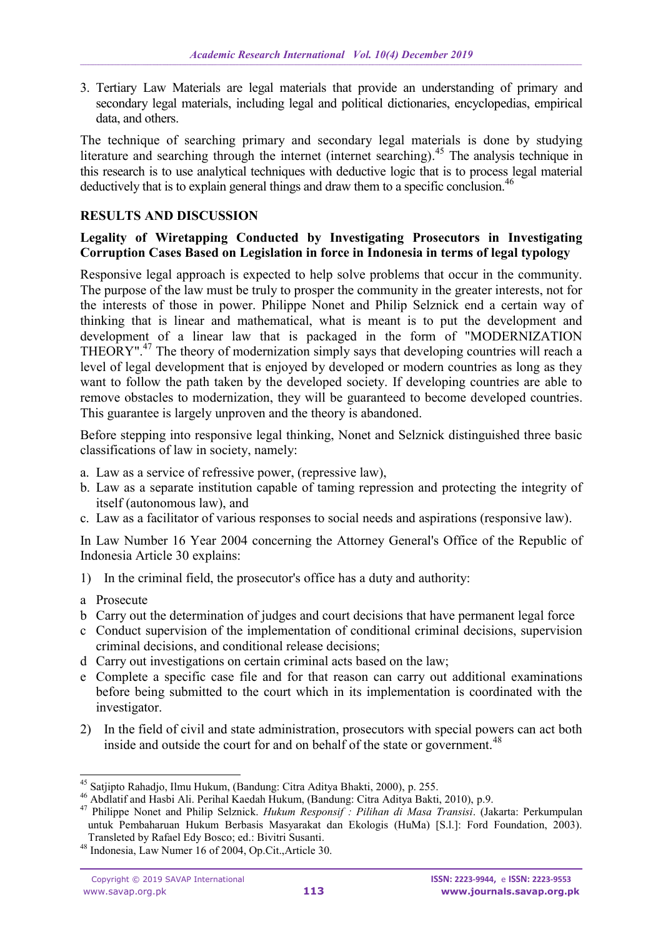3. Tertiary Law Materials are legal materials that provide an understanding of primary and secondary legal materials, including legal and political dictionaries, encyclopedias, empirical data, and others.

The technique of searching primary and secondary legal materials is done by studying literature and searching through the internet (internet searching).<sup>45</sup> The analysis technique in this research is to use analytical techniques with deductive logic that is to process legal material deductively that is to explain general things and draw them to a specific conclusion.<sup>46</sup>

### **RESULTS AND DISCUSSION**

#### **Legality of Wiretapping Conducted by Investigating Prosecutors in Investigating Corruption Cases Based on Legislation in force in Indonesia in terms of legal typology**

Responsive legal approach is expected to help solve problems that occur in the community. The purpose of the law must be truly to prosper the community in the greater interests, not for the interests of those in power. Philippe Nonet and Philip Selznick end a certain way of thinking that is linear and mathematical, what is meant is to put the development and development of a linear law that is packaged in the form of "MODERNIZATION THEORY".<sup>47</sup> The theory of modernization simply says that developing countries will reach a level of legal development that is enjoyed by developed or modern countries as long as they want to follow the path taken by the developed society. If developing countries are able to remove obstacles to modernization, they will be guaranteed to become developed countries. This guarantee is largely unproven and the theory is abandoned.

Before stepping into responsive legal thinking, Nonet and Selznick distinguished three basic classifications of law in society, namely:

- a. Law as a service of refressive power, (repressive law),
- b. Law as a separate institution capable of taming repression and protecting the integrity of itself (autonomous law), and
- c. Law as a facilitator of various responses to social needs and aspirations (responsive law).

In Law Number 16 Year 2004 concerning the Attorney General's Office of the Republic of Indonesia Article 30 explains:

- 1) In the criminal field, the prosecutor's office has a duty and authority:
- a Prosecute

-

- b Carry out the determination of judges and court decisions that have permanent legal force
- c Conduct supervision of the implementation of conditional criminal decisions, supervision criminal decisions, and conditional release decisions;
- d Carry out investigations on certain criminal acts based on the law;
- e Complete a specific case file and for that reason can carry out additional examinations before being submitted to the court which in its implementation is coordinated with the investigator.
- 2) In the field of civil and state administration, prosecutors with special powers can act both inside and outside the court for and on behalf of the state or government.<sup>48</sup>

<sup>&</sup>lt;sup>45</sup> Satjipto Rahadjo, Ilmu Hukum, (Bandung: Citra Aditya Bhakti, 2000), p. 255.

<sup>46</sup> Abdlatif and Hasbi Ali. Perihal Kaedah Hukum, (Bandung: Citra Aditya Bakti, 2010), p.9.

<sup>47</sup> Philippe Nonet and Philip Selznick. *Hukum Responsif : Pilihan di Masa Transisi*. (Jakarta: Perkumpulan untuk Pembaharuan Hukum Berbasis Masyarakat dan Ekologis (HuMa) [S.l.]: Ford Foundation, 2003). Transleted by Rafael Edy Bosco; ed.: Bivitri Susanti.

<sup>48</sup> Indonesia, Law Numer 16 of 2004, Op.Cit.,Article 30.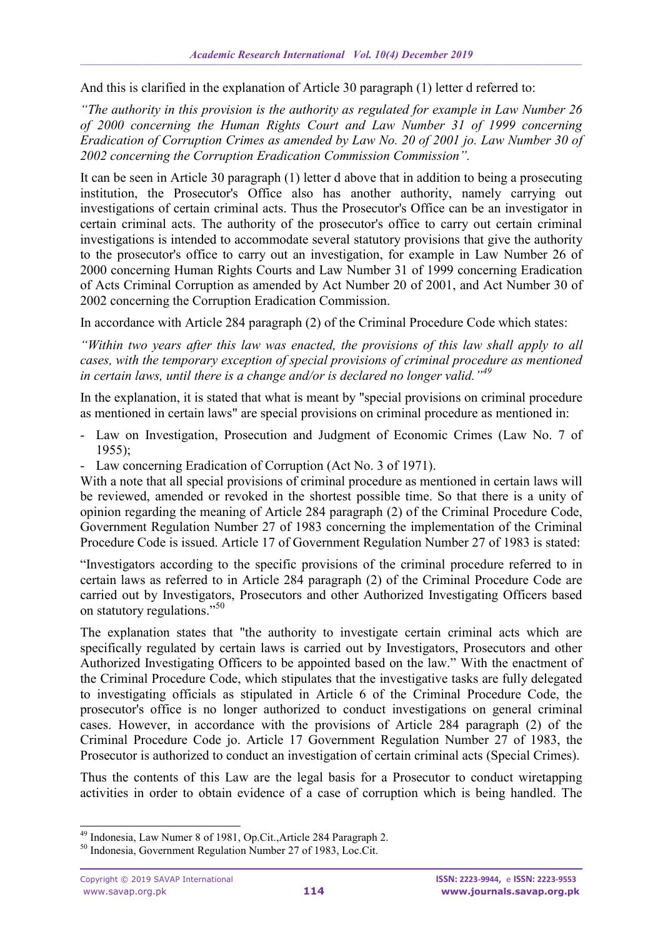And this is clarified in the explanation of Article 30 paragraph (1) letter d referred to:

*"The authority in this provision is the authority as regulated for example in Law Number 26 of 2000 concerning the Human Rights Court and Law Number 31 of 1999 concerning Eradication of Corruption Crimes as amended by Law No. 20 of 2001 jo. Law Number 30 of 2002 concerning the Corruption Eradication Commission Commission".*

It can be seen in Article 30 paragraph (1) letter d above that in addition to being a prosecuting institution, the Prosecutor's Office also has another authority, namely carrying out investigations of certain criminal acts. Thus the Prosecutor's Office can be an investigator in certain criminal acts. The authority of the prosecutor's office to carry out certain criminal investigations is intended to accommodate several statutory provisions that give the authority to the prosecutor's office to carry out an investigation, for example in Law Number 26 of 2000 concerning Human Rights Courts and Law Number 31 of 1999 concerning Eradication of Acts Criminal Corruption as amended by Act Number 20 of 2001, and Act Number 30 of 2002 concerning the Corruption Eradication Commission.

In accordance with Article 284 paragraph (2) of the Criminal Procedure Code which states:

*"Within two years after this law was enacted, the provisions of this law shall apply to all cases, with the temporary exception of special provisions of criminal procedure as mentioned in certain laws, until there is a change and/or is declared no longer valid."<sup>49</sup>*

In the explanation, it is stated that what is meant by "special provisions on criminal procedure as mentioned in certain laws" are special provisions on criminal procedure as mentioned in:

- Law on Investigation, Prosecution and Judgment of Economic Crimes (Law No. 7 of 1955);
- Law concerning Eradication of Corruption (Act No. 3 of 1971).

With a note that all special provisions of criminal procedure as mentioned in certain laws will be reviewed, amended or revoked in the shortest possible time. So that there is a unity of opinion regarding the meaning of Article 284 paragraph (2) of the Criminal Procedure Code, Government Regulation Number 27 of 1983 concerning the implementation of the Criminal Procedure Code is issued. Article 17 of Government Regulation Number 27 of 1983 is stated:

"Investigators according to the specific provisions of the criminal procedure referred to in certain laws as referred to in Article 284 paragraph (2) of the Criminal Procedure Code are carried out by Investigators, Prosecutors and other Authorized Investigating Officers based on statutory regulations."<sup>50</sup>

The explanation states that "the authority to investigate certain criminal acts which are specifically regulated by certain laws is carried out by Investigators, Prosecutors and other Authorized Investigating Officers to be appointed based on the law." With the enactment of the Criminal Procedure Code, which stipulates that the investigative tasks are fully delegated to investigating officials as stipulated in Article 6 of the Criminal Procedure Code, the prosecutor's office is no longer authorized to conduct investigations on general criminal cases. However, in accordance with the provisions of Article 284 paragraph (2) of the Criminal Procedure Code jo. Article 17 Government Regulation Number 27 of 1983, the Prosecutor is authorized to conduct an investigation of certain criminal acts (Special Crimes).

Thus the contents of this Law are the legal basis for a Prosecutor to conduct wiretapping activities in order to obtain evidence of a case of corruption which is being handled. The

<sup>-</sup><sup>49</sup> Indonesia, Law Numer 8 of 1981, Op.Cit.,Article 284 Paragraph 2.

<sup>50</sup> Indonesia, Government Regulation Number 27 of 1983, Loc.Cit.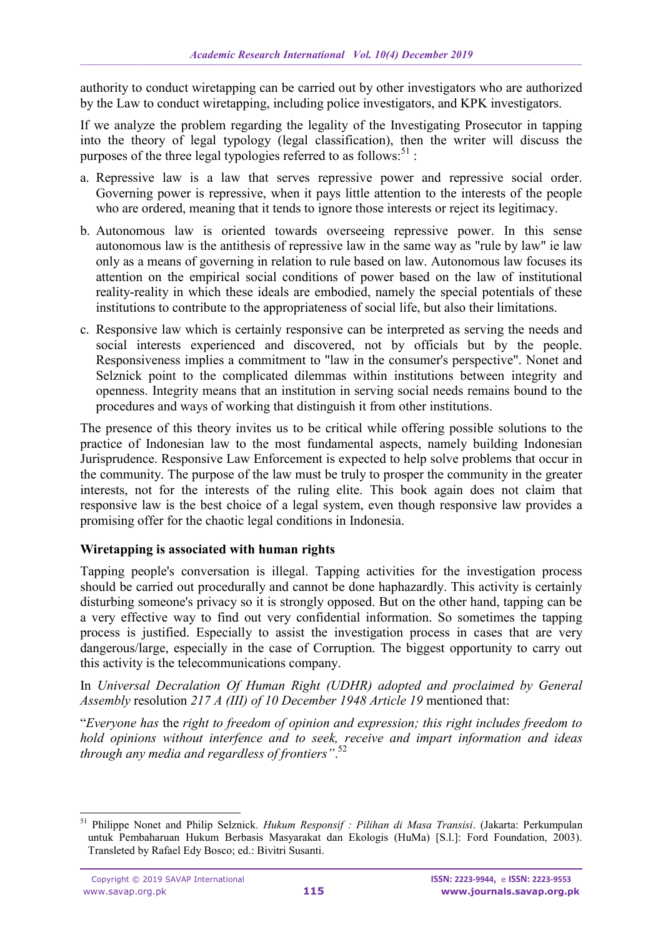authority to conduct wiretapping can be carried out by other investigators who are authorized by the Law to conduct wiretapping, including police investigators, and KPK investigators.

If we analyze the problem regarding the legality of the Investigating Prosecutor in tapping into the theory of legal typology (legal classification), then the writer will discuss the purposes of the three legal typologies referred to as follows: $51$ :

- a. Repressive law is a law that serves repressive power and repressive social order. Governing power is repressive, when it pays little attention to the interests of the people who are ordered, meaning that it tends to ignore those interests or reject its legitimacy.
- b. Autonomous law is oriented towards overseeing repressive power. In this sense autonomous law is the antithesis of repressive law in the same way as "rule by law" ie law only as a means of governing in relation to rule based on law. Autonomous law focuses its attention on the empirical social conditions of power based on the law of institutional reality-reality in which these ideals are embodied, namely the special potentials of these institutions to contribute to the appropriateness of social life, but also their limitations.
- c. Responsive law which is certainly responsive can be interpreted as serving the needs and social interests experienced and discovered, not by officials but by the people. Responsiveness implies a commitment to "law in the consumer's perspective". Nonet and Selznick point to the complicated dilemmas within institutions between integrity and openness. Integrity means that an institution in serving social needs remains bound to the procedures and ways of working that distinguish it from other institutions.

The presence of this theory invites us to be critical while offering possible solutions to the practice of Indonesian law to the most fundamental aspects, namely building Indonesian Jurisprudence. Responsive Law Enforcement is expected to help solve problems that occur in the community. The purpose of the law must be truly to prosper the community in the greater interests, not for the interests of the ruling elite. This book again does not claim that responsive law is the best choice of a legal system, even though responsive law provides a promising offer for the chaotic legal conditions in Indonesia.

### **Wiretapping is associated with human rights**

Tapping people's conversation is illegal. Tapping activities for the investigation process should be carried out procedurally and cannot be done haphazardly. This activity is certainly disturbing someone's privacy so it is strongly opposed. But on the other hand, tapping can be a very effective way to find out very confidential information. So sometimes the tapping process is justified. Especially to assist the investigation process in cases that are very dangerous/large, especially in the case of Corruption. The biggest opportunity to carry out this activity is the telecommunications company.

In *Universal Decralation Of Human Right (UDHR) adopted and proclaimed by General Assembly* resolution *217 A (III) of 10 December 1948 Article 19* mentioned that:

"*Everyone has* the *right to freedom of opinion and expression; this right includes freedom to hold opinions without interfence and to seek, receive and impart information and ideas through any media and regardless of frontiers"*. 52

<sup>1</sup> <sup>51</sup> Philippe Nonet and Philip Selznick. *Hukum Responsif : Pilihan di Masa Transisi*. (Jakarta: Perkumpulan untuk Pembaharuan Hukum Berbasis Masyarakat dan Ekologis (HuMa) [S.l.]: Ford Foundation, 2003). Transleted by Rafael Edy Bosco; ed.: Bivitri Susanti.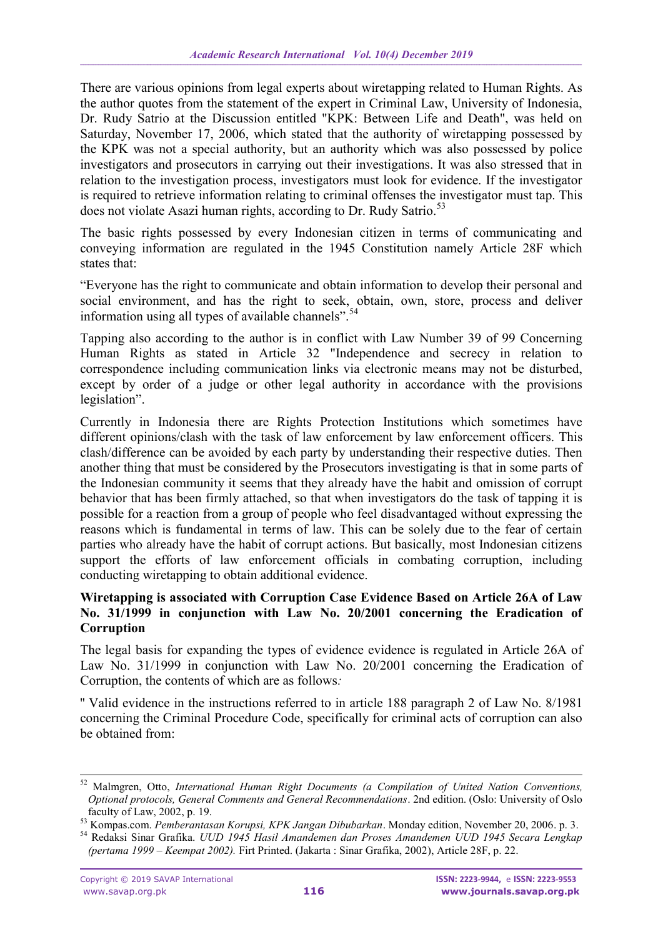There are various opinions from legal experts about wiretapping related to Human Rights. As the author quotes from the statement of the expert in Criminal Law, University of Indonesia, Dr. Rudy Satrio at the Discussion entitled "KPK: Between Life and Death", was held on Saturday, November 17, 2006, which stated that the authority of wiretapping possessed by the KPK was not a special authority, but an authority which was also possessed by police investigators and prosecutors in carrying out their investigations. It was also stressed that in relation to the investigation process, investigators must look for evidence. If the investigator is required to retrieve information relating to criminal offenses the investigator must tap. This does not violate Asazi human rights, according to Dr. Rudy Satrio.<sup>53</sup>

The basic rights possessed by every Indonesian citizen in terms of communicating and conveying information are regulated in the 1945 Constitution namely Article 28F which states that:

"Everyone has the right to communicate and obtain information to develop their personal and social environment, and has the right to seek, obtain, own, store, process and deliver information using all types of available channels".  $54$ 

Tapping also according to the author is in conflict with Law Number 39 of 99 Concerning Human Rights as stated in Article 32 "Independence and secrecy in relation to correspondence including communication links via electronic means may not be disturbed, except by order of a judge or other legal authority in accordance with the provisions legislation".

Currently in Indonesia there are Rights Protection Institutions which sometimes have different opinions/clash with the task of law enforcement by law enforcement officers. This clash/difference can be avoided by each party by understanding their respective duties. Then another thing that must be considered by the Prosecutors investigating is that in some parts of the Indonesian community it seems that they already have the habit and omission of corrupt behavior that has been firmly attached, so that when investigators do the task of tapping it is possible for a reaction from a group of people who feel disadvantaged without expressing the reasons which is fundamental in terms of law. This can be solely due to the fear of certain parties who already have the habit of corrupt actions. But basically, most Indonesian citizens support the efforts of law enforcement officials in combating corruption, including conducting wiretapping to obtain additional evidence.

### **Wiretapping is associated with Corruption Case Evidence Based on Article 26A of Law No. 31/1999 in conjunction with Law No. 20/2001 concerning the Eradication of Corruption**

The legal basis for expanding the types of evidence evidence is regulated in Article 26A of Law No. 31/1999 in conjunction with Law No. 20/2001 concerning the Eradication of Corruption, the contents of which are as follows*:*

'' Valid evidence in the instructions referred to in article 188 paragraph 2 of Law No. 8/1981 concerning the Criminal Procedure Code, specifically for criminal acts of corruption can also be obtained from:

-

<sup>52</sup> Malmgren, Otto, *International Human Right Documents (a Compilation of United Nation Conventions, Optional protocols, General Comments and General Recommendations*. 2nd edition. (Oslo: University of Oslo faculty of Law, 2002, p. 19.

<sup>53</sup> Kompas.com. *Pemberantasan Korupsi, KPK Jangan Dibubarkan*. Monday edition, November 20, 2006. p. 3.

<sup>54</sup> Redaksi Sinar Grafika. *UUD 1945 Hasil Amandemen dan Proses Amandemen UUD 1945 Secara Lengkap (pertama 1999 – Keempat 2002).* Firt Printed. (Jakarta : Sinar Grafika, 2002), Article 28F, p. 22.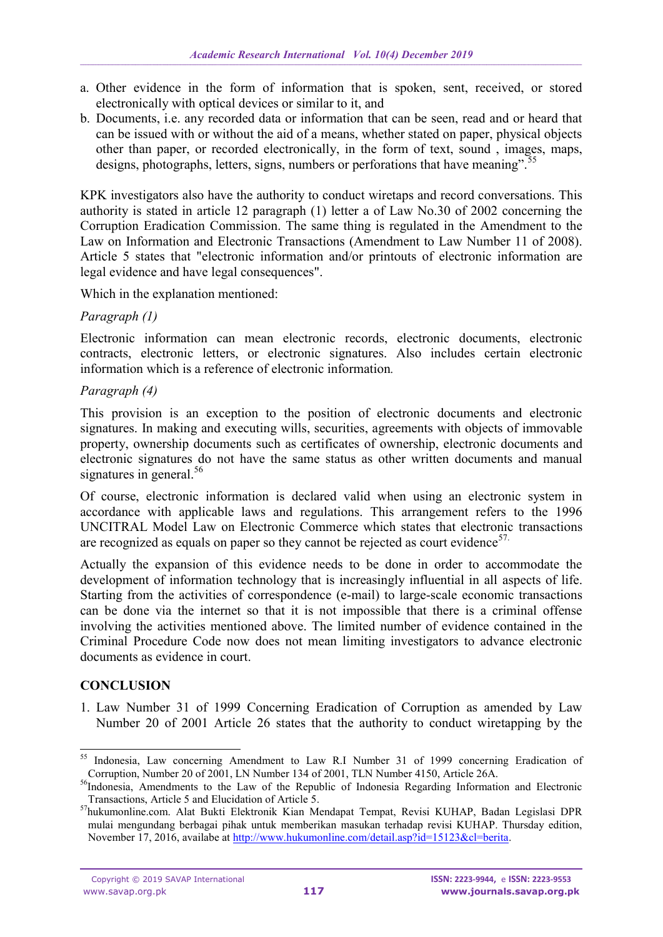- a. Other evidence in the form of information that is spoken, sent, received, or stored electronically with optical devices or similar to it, and
- b. Documents, i.e. any recorded data or information that can be seen, read and or heard that can be issued with or without the aid of a means, whether stated on paper, physical objects other than paper, or recorded electronically, in the form of text, sound , images, maps, designs, photographs, letters, signs, numbers or perforations that have meaning".<sup>55</sup>

KPK investigators also have the authority to conduct wiretaps and record conversations. This authority is stated in article 12 paragraph (1) letter a of Law No.30 of 2002 concerning the Corruption Eradication Commission. The same thing is regulated in the Amendment to the Law on Information and Electronic Transactions (Amendment to Law Number 11 of 2008). Article 5 states that "electronic information and/or printouts of electronic information are legal evidence and have legal consequences".

Which in the explanation mentioned:

### *Paragraph (1)*

Electronic information can mean electronic records, electronic documents, electronic contracts, electronic letters, or electronic signatures. Also includes certain electronic information which is a reference of electronic information*.*

### *Paragraph (4)*

This provision is an exception to the position of electronic documents and electronic signatures. In making and executing wills, securities, agreements with objects of immovable property, ownership documents such as certificates of ownership, electronic documents and electronic signatures do not have the same status as other written documents and manual signatures in general.<sup>56</sup>

Of course, electronic information is declared valid when using an electronic system in accordance with applicable laws and regulations. This arrangement refers to the 1996 UNCITRAL Model Law on Electronic Commerce which states that electronic transactions are recognized as equals on paper so they cannot be rejected as court evidence<sup>57.</sup>

Actually the expansion of this evidence needs to be done in order to accommodate the development of information technology that is increasingly influential in all aspects of life. Starting from the activities of correspondence (e-mail) to large-scale economic transactions can be done via the internet so that it is not impossible that there is a criminal offense involving the activities mentioned above. The limited number of evidence contained in the Criminal Procedure Code now does not mean limiting investigators to advance electronic documents as evidence in court.

## **CONCLUSION**

1. Law Number 31 of 1999 Concerning Eradication of Corruption as amended by Law Number 20 of 2001 Article 26 states that the authority to conduct wiretapping by the

<sup>1</sup> <sup>55</sup> Indonesia, Law concerning Amendment to Law R.I Number 31 of 1999 concerning Eradication of Corruption, Number 20 of 2001, LN Number 134 of 2001, TLN Number 4150, Article 26A.

<sup>&</sup>lt;sup>56</sup>Indonesia, Amendments to the Law of the Republic of Indonesia Regarding Information and Electronic Transactions, Article 5 and Elucidation of Article 5.

<sup>57</sup>hukumonline.com. Alat Bukti Elektronik Kian Mendapat Tempat, Revisi KUHAP, Badan Legislasi DPR mulai mengundang berbagai pihak untuk memberikan masukan terhadap revisi KUHAP. Thursday edition, November 17, 2016, availabe at [http://www.hukumonline.com/detail.asp?id=15123&cl=berita.](http://www.hukumonline.com/detail.asp?id=15123&cl=berita)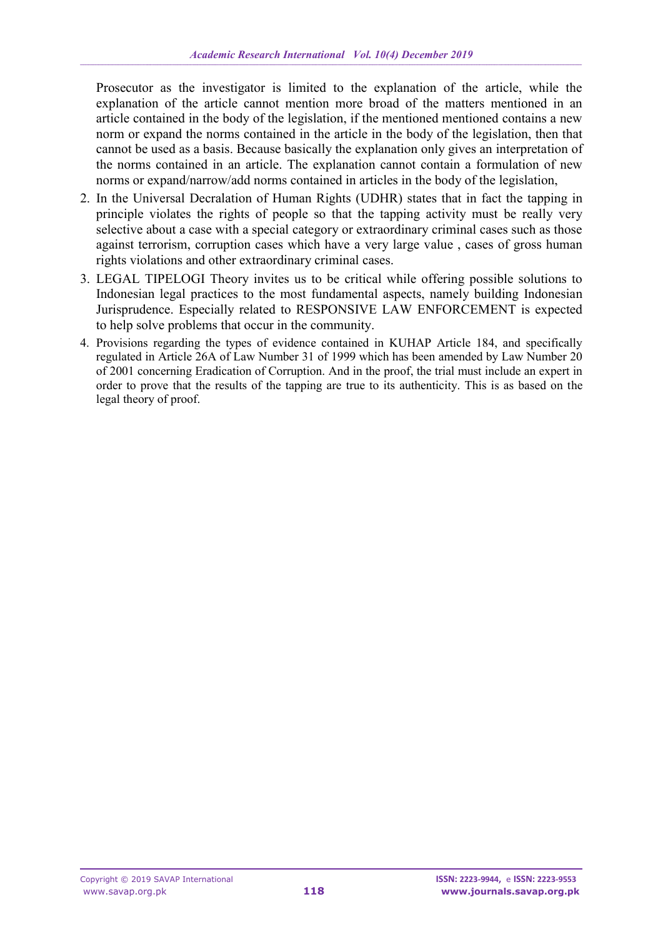Prosecutor as the investigator is limited to the explanation of the article, while the explanation of the article cannot mention more broad of the matters mentioned in an article contained in the body of the legislation, if the mentioned mentioned contains a new norm or expand the norms contained in the article in the body of the legislation, then that cannot be used as a basis. Because basically the explanation only gives an interpretation of the norms contained in an article. The explanation cannot contain a formulation of new norms or expand/narrow/add norms contained in articles in the body of the legislation,

- 2. In the Universal Decralation of Human Rights (UDHR) states that in fact the tapping in principle violates the rights of people so that the tapping activity must be really very selective about a case with a special category or extraordinary criminal cases such as those against terrorism, corruption cases which have a very large value , cases of gross human rights violations and other extraordinary criminal cases.
- 3. LEGAL TIPELOGI Theory invites us to be critical while offering possible solutions to Indonesian legal practices to the most fundamental aspects, namely building Indonesian Jurisprudence. Especially related to RESPONSIVE LAW ENFORCEMENT is expected to help solve problems that occur in the community.
- 4. Provisions regarding the types of evidence contained in KUHAP Article 184, and specifically regulated in Article 26A of Law Number 31 of 1999 which has been amended by Law Number 20 of 2001 concerning Eradication of Corruption. And in the proof, the trial must include an expert in order to prove that the results of the tapping are true to its authenticity. This is as based on the legal theory of proof.